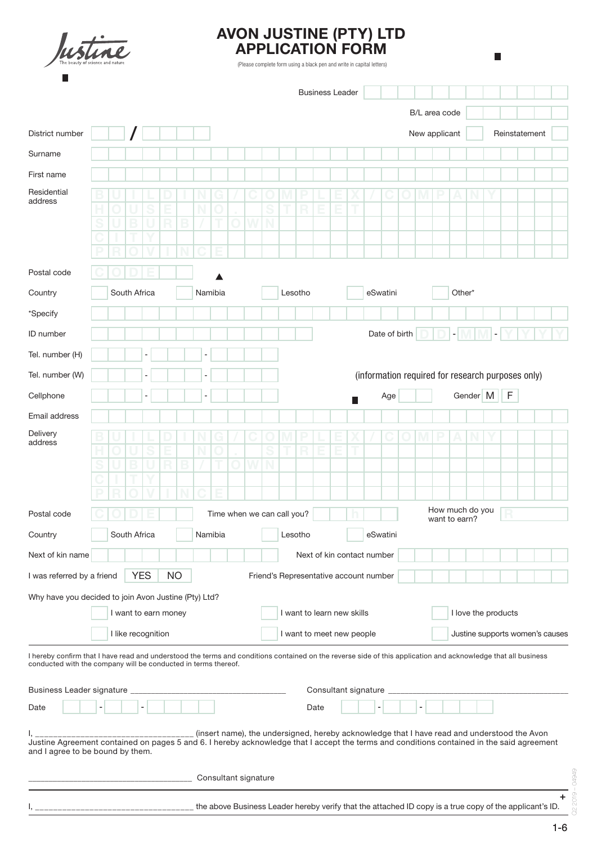

# AVON JUSTINE (PTY) LTD APPLICATION FORM

(Please complete form using a black pen and write in capital letters)

 $\overline{\phantom{a}}$ 

|                                                                                                                                                                                                                                 |                                                    |  |              |                    |                                                                            |  |   |         |  |  |   |                                        |                     | <b>Business Leader</b> |  |                            |  |               |  |               |               |                |                 |                                                  |             |                                                                                                                    |  |   |
|---------------------------------------------------------------------------------------------------------------------------------------------------------------------------------------------------------------------------------|----------------------------------------------------|--|--------------|--------------------|----------------------------------------------------------------------------|--|---|---------|--|--|---|----------------------------------------|---------------------|------------------------|--|----------------------------|--|---------------|--|---------------|---------------|----------------|-----------------|--------------------------------------------------|-------------|--------------------------------------------------------------------------------------------------------------------|--|---|
|                                                                                                                                                                                                                                 |                                                    |  |              |                    |                                                                            |  |   |         |  |  |   |                                        |                     |                        |  |                            |  |               |  | B/L area code |               |                |                 |                                                  |             |                                                                                                                    |  |   |
| District number                                                                                                                                                                                                                 |                                                    |  |              |                    |                                                                            |  |   |         |  |  |   |                                        |                     |                        |  |                            |  |               |  | New applicant |               |                |                 |                                                  |             | Reinstatement                                                                                                      |  |   |
| Surname                                                                                                                                                                                                                         |                                                    |  |              |                    |                                                                            |  |   |         |  |  |   |                                        |                     |                        |  |                            |  |               |  |               |               |                |                 |                                                  |             |                                                                                                                    |  |   |
| First name                                                                                                                                                                                                                      |                                                    |  |              |                    |                                                                            |  |   |         |  |  |   |                                        |                     |                        |  |                            |  |               |  |               |               |                |                 |                                                  |             |                                                                                                                    |  |   |
| Residential<br>address                                                                                                                                                                                                          |                                                    |  |              |                    |                                                                            |  |   |         |  |  |   |                                        |                     |                        |  |                            |  |               |  |               |               |                |                 |                                                  |             |                                                                                                                    |  |   |
|                                                                                                                                                                                                                                 |                                                    |  |              |                    |                                                                            |  |   |         |  |  | S |                                        |                     |                        |  |                            |  |               |  |               |               |                |                 |                                                  |             |                                                                                                                    |  |   |
|                                                                                                                                                                                                                                 |                                                    |  |              |                    |                                                                            |  |   |         |  |  | N |                                        |                     |                        |  |                            |  |               |  |               |               |                |                 |                                                  |             |                                                                                                                    |  |   |
|                                                                                                                                                                                                                                 |                                                    |  |              |                    |                                                                            |  |   |         |  |  |   |                                        |                     |                        |  |                            |  |               |  |               |               |                |                 |                                                  |             |                                                                                                                    |  |   |
| Postal code                                                                                                                                                                                                                     |                                                    |  |              |                    |                                                                            |  |   |         |  |  |   |                                        |                     |                        |  |                            |  |               |  |               |               |                |                 |                                                  |             |                                                                                                                    |  |   |
| Country                                                                                                                                                                                                                         | South Africa                                       |  |              | Namibia            |                                                                            |  |   | Lesotho |  |  |   |                                        | eSwatini            |                        |  |                            |  |               |  | Other*        |               |                |                 |                                                  |             |                                                                                                                    |  |   |
| *Specify                                                                                                                                                                                                                        |                                                    |  |              |                    |                                                                            |  |   |         |  |  |   |                                        |                     |                        |  |                            |  |               |  |               |               |                |                 |                                                  |             |                                                                                                                    |  |   |
| ID number                                                                                                                                                                                                                       |                                                    |  |              |                    |                                                                            |  |   |         |  |  |   |                                        |                     |                        |  |                            |  | Date of birth |  |               |               | $\overline{a}$ |                 |                                                  |             |                                                                                                                    |  |   |
| Tel. number (H)                                                                                                                                                                                                                 |                                                    |  |              | $\blacksquare$     |                                                                            |  | ۰ |         |  |  |   |                                        |                     |                        |  |                            |  |               |  |               |               |                |                 |                                                  |             |                                                                                                                    |  |   |
| Tel. number (W)                                                                                                                                                                                                                 |                                                    |  |              | ٠                  |                                                                            |  | - |         |  |  |   |                                        |                     |                        |  |                            |  |               |  |               |               |                |                 |                                                  |             | (information required for research purposes only)                                                                  |  |   |
| Cellphone                                                                                                                                                                                                                       |                                                    |  |              |                    |                                                                            |  |   |         |  |  |   |                                        |                     |                        |  |                            |  | Age           |  |               |               |                |                 | Gender M                                         | $\mathsf F$ |                                                                                                                    |  |   |
|                                                                                                                                                                                                                                 |                                                    |  |              |                    |                                                                            |  |   |         |  |  |   |                                        |                     |                        |  |                            |  |               |  |               |               |                |                 |                                                  |             |                                                                                                                    |  |   |
| Email address<br>Delivery                                                                                                                                                                                                       |                                                    |  |              |                    |                                                                            |  |   |         |  |  |   |                                        |                     |                        |  |                            |  |               |  |               |               |                |                 |                                                  |             |                                                                                                                    |  |   |
| address                                                                                                                                                                                                                         |                                                    |  |              |                    |                                                                            |  |   |         |  |  | S |                                        |                     |                        |  |                            |  |               |  |               | D             | Δ              |                 |                                                  |             |                                                                                                                    |  |   |
|                                                                                                                                                                                                                                 |                                                    |  |              |                    |                                                                            |  |   |         |  |  | N |                                        |                     |                        |  |                            |  |               |  |               |               |                |                 |                                                  |             |                                                                                                                    |  |   |
|                                                                                                                                                                                                                                 |                                                    |  |              |                    |                                                                            |  |   |         |  |  |   |                                        |                     |                        |  |                            |  |               |  |               |               |                |                 |                                                  |             |                                                                                                                    |  |   |
|                                                                                                                                                                                                                                 |                                                    |  |              |                    |                                                                            |  |   |         |  |  |   |                                        |                     |                        |  |                            |  |               |  |               |               |                | How much do you |                                                  |             |                                                                                                                    |  |   |
| Postal code                                                                                                                                                                                                                     |                                                    |  |              |                    |                                                                            |  |   |         |  |  |   | Time when we can call you?             |                     |                        |  |                            |  |               |  |               | want to earn? |                |                 |                                                  |             |                                                                                                                    |  |   |
| Country                                                                                                                                                                                                                         |                                                    |  | South Africa |                    |                                                                            |  |   | Namibia |  |  |   |                                        | Lesotho             |                        |  |                            |  | eSwatini      |  |               |               |                |                 |                                                  |             |                                                                                                                    |  |   |
| Next of kin name                                                                                                                                                                                                                |                                                    |  |              |                    |                                                                            |  |   |         |  |  |   |                                        |                     |                        |  | Next of kin contact number |  |               |  |               |               |                |                 |                                                  |             |                                                                                                                    |  |   |
| I was referred by a friend                                                                                                                                                                                                      |                                                    |  |              | <b>YES</b>         | <b>NO</b>                                                                  |  |   |         |  |  |   | Friend's Representative account number |                     |                        |  |                            |  |               |  |               |               |                |                 |                                                  |             |                                                                                                                    |  |   |
| Why have you decided to join Avon Justine (Pty) Ltd?                                                                                                                                                                            |                                                    |  |              |                    |                                                                            |  |   |         |  |  |   |                                        |                     |                        |  |                            |  |               |  |               |               |                |                 |                                                  |             |                                                                                                                    |  |   |
|                                                                                                                                                                                                                                 | I want to earn money<br>I want to learn new skills |  |              |                    |                                                                            |  |   |         |  |  |   |                                        | I love the products |                        |  |                            |  |               |  |               |               |                |                 |                                                  |             |                                                                                                                    |  |   |
|                                                                                                                                                                                                                                 |                                                    |  |              | I like recognition |                                                                            |  |   |         |  |  |   |                                        |                     |                        |  | I want to meet new people  |  |               |  |               |               |                |                 |                                                  |             | Justine supports women's causes                                                                                    |  |   |
| I hereby confirm that I have read and understood the terms and conditions contained on the reverse side of this application and acknowledge that all business<br>conducted with the company will be conducted in terms thereof. |                                                    |  |              |                    |                                                                            |  |   |         |  |  |   |                                        |                     |                        |  |                            |  |               |  |               |               |                |                 |                                                  |             |                                                                                                                    |  |   |
|                                                                                                                                                                                                                                 |                                                    |  |              |                    |                                                                            |  |   |         |  |  |   |                                        |                     |                        |  |                            |  |               |  |               |               |                |                 |                                                  |             |                                                                                                                    |  |   |
| Business Leader signature __                                                                                                                                                                                                    |                                                    |  |              |                    | the control of the control of the control of the control of the control of |  |   |         |  |  |   |                                        |                     |                        |  | Consultant signature _     |  |               |  |               |               |                |                 | the control of the control of the control of the |             |                                                                                                                    |  |   |
| Date                                                                                                                                                                                                                            |                                                    |  |              |                    |                                                                            |  |   |         |  |  |   |                                        |                     | Date                   |  |                            |  |               |  |               |               |                |                 |                                                  |             |                                                                                                                    |  |   |
|                                                                                                                                                                                                                                 |                                                    |  |              |                    |                                                                            |  |   |         |  |  |   |                                        |                     |                        |  |                            |  |               |  |               |               |                |                 |                                                  |             | _______________________(insert name), the undersigned, hereby acknowledge that I have read and understood the Avon |  |   |
| Justine Agreement contained on pages 5 and 6. I hereby acknowledge that I accept the terms and conditions contained in the said agreement<br>and I agree to be bound by them.                                                   |                                                    |  |              |                    |                                                                            |  |   |         |  |  |   |                                        |                     |                        |  |                            |  |               |  |               |               |                |                 |                                                  |             |                                                                                                                    |  |   |
|                                                                                                                                                                                                                                 |                                                    |  |              |                    |                                                                            |  |   |         |  |  |   |                                        |                     |                        |  |                            |  |               |  |               |               |                |                 |                                                  |             |                                                                                                                    |  |   |
|                                                                                                                                                                                                                                 |                                                    |  |              |                    |                                                                            |  |   |         |  |  |   |                                        |                     |                        |  |                            |  |               |  |               |               |                |                 |                                                  |             |                                                                                                                    |  |   |
|                                                                                                                                                                                                                                 |                                                    |  |              |                    |                                                                            |  |   |         |  |  |   |                                        |                     |                        |  |                            |  |               |  |               |               |                |                 |                                                  |             | the above Business Leader hereby verify that the attached ID copy is a true copy of the applicant's ID.            |  | + |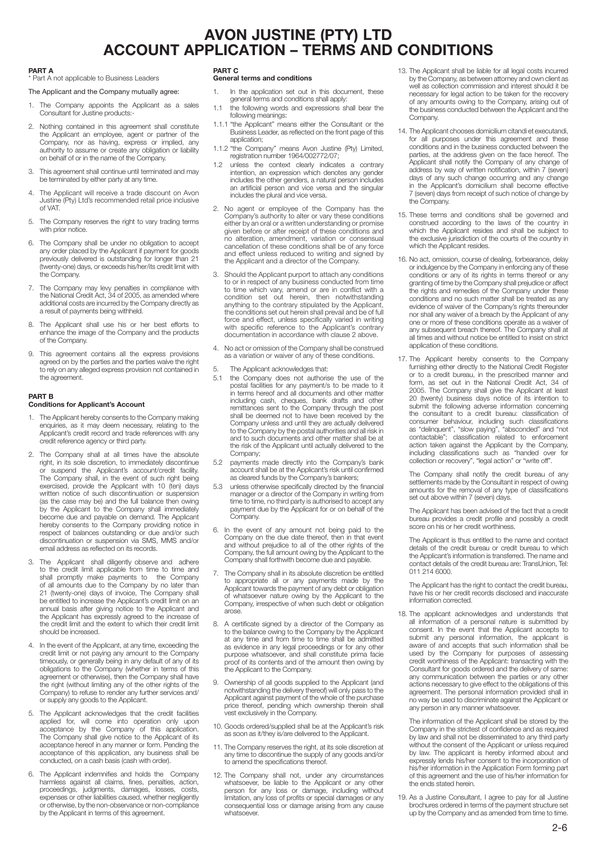# AVON JUSTINE (PTY) LTD ACCOUNT APPLICATION – TERMS AND CONDITIONS

#### PART A

\* Part A not applicable to Business Leaders

### The Applicant and the Company mutually agree:

- 1. The Company appoints the Applicant as a sales Consultant for Justine products:-
- 2. Nothing contained in this agreement shall constitute the Applicant an employee, agent or partner of the Company, nor as having, express or implied, any authority to assume or create any obligation or liability on behalf of or in the name of the Company.
- This agreement shall continue until terminated and may be terminated by either party at any time.
- 4. The Applicant will receive a trade discount on Avon Justine (Pty) Ltd's recommended retail price inclusive of VAT.
- 5. The Company reserves the right to vary trading terms with prior notice
- 6. The Company shall be under no obligation to accept any order placed by the Applicant if payment for goods previously delivered is outstanding for longer than 21 (twenty-one) days, or exceeds his/her/its credit limit with the Company.
- 7. The Company may levy penalties in compliance with the National Credit Act, 34 of 2005, as amended where additional costs are incurred by the Company directly as a result of payments being withheld.
- 8. The Applicant shall use his or her best efforts to enhance the image of the Company and the products of the Company.
- 9. This agreement contains all the express provisions agreed on by the parties and the parties waive the right to rely on any alleged express provision not contained in the agreement.

### PART B

### Conditions for Applicant's Account

- 1. The Applicant hereby consents to the Company making enquiries, as it may deem necessary, relating to the Applicant's credit record and trade references with any credit reference agency or third party.
- 2. The Company shall at all times have the absolute right, in its sole discretion, to immediately discontinue or suspend the Applicant's account/credit facility. The Company shall, in the event of such right being exercised, provide the Applicant with 10 (ten) days written notice of such discontinuation or suspension (as the case may be) and the full balance then owing by the Applicant to the Company shall immediately become due and payable on demand. The Applicant hereby consents to the Company providing notice in respect of balances outstanding or due and/or such discontinuation or suspension via SMS, MMS and/or email address as reflected on its records.
- 3. The Applicant shall diligently observe and adhere to the credit limit applicable from time to time and shall promptly make payments to the Company of all amounts due to the Company by no later than 21 (twenty-one) days of invoice, The Company shall be entitled to increase the Applicant's credit limit on an annual basis after giving notice to the Applicant and the Applicant has expressly agreed to the increase of the credit limit and the extent to which their credit limit should be increased.
- 4. In the event of the Applicant, at any time, exceeding the credit limit or not paying any amount to the Company timeously, or generally being in any default of any of its obligations to the Company (whether in terms of this agreement or otherwise), then the Company shall have the right (without limiting any of the other rights of the Company) to refuse to render any further services and/ or supply any goods to the Applicant.
- 5. The Applicant acknowledges that the credit facilities applied for, will come into operation only upon acceptance by the Company of this application. The Company shall give notice to the Applicant of its acceptance hereof in any manner or form. Pending the acceptance of this application, any business shall be conducted, on a cash basis (cash with order).
- The Applicant indemnifies and holds the Company harmless against all claims, fines, penalties, action, proceedings, judgments, damages, losses, costs, expenses or other liabilities caused, whether negligently or otherwise, by the non-observance or non-compliance by the Applicant in terms of this agreement.

## PART C

#### General terms and conditions

- 1. In the application set out in this document, these general terms and conditions shall apply:
- 1.1 the following words and expressions shall bear the following meanings:
- 1.1.1 "the Applicant" means either the Consultant or the Business Leader, as reflected on the front page of this application;
- 1.1.2 "the Company" means Avon Justine (Pty) Limited, registration number 1964/002772/07;
- 1.2 unless the context clearly indicates a contrary intention, an expression which denotes any gender includes the other genders, a natural person includes an artificial person and vice versa and the singular includes the plural and vice versa.
- 2. No agent or employee of the Company has the Company's authority to alter or vary these conditions either by an oral or a written understanding or promise given before or after receipt of these conditions and no alteration, amendment, variation or consensual cancellation of these conditions shall be of any force and effect unless reduced to writing and signed by the Applicant and a director of the Company.
- 3. Should the Applicant purport to attach any conditions to or in respect of any business conducted from time to time which vary, amend or are in conflict with a condition set out herein, then notwithstanding anything to the contrary stipulated by the Applicant, the conditions set out herein shall prevail and be of full force and effect, unless specifically varied in writing with specific reference to the Applicant's contrary documentation in accordance with clause 2 above.
- 4. No act or omission of the Company shall be construed as a variation or waiver of any of these conditions.
- 5. The Applicant acknowledges that:<br>5.1 the Company does not authoris
- 5.1 the Company does not authorise the use of the postal facilities for any payment/s to be made to it in terms hereof and all documents and other matter including cash, cheques, bank drafts and other remittances sent to the Company through the post shall be deemed not to have been received by the Company unless and until they are actually delivered to the Company by the postal authorities and all risk in and to such documents and other matter shall be at the risk of the Applicant until actually delivered to the Company;
- 5.2 payments made directly into the Company's bank account shall be at the Applicant's risk until confirmed as cleared funds by the Company's bankers;
- unless otherwise specifically directed by the financial manager or a director of the Company in writing from time to time, no third party is authorised to accept any payment due by the Applicant for or on behalf of the Company.
- 6. In the event of any amount not being paid to the Company on the due date thereof, then in that event and without prejudice to all of the other rights of the Company, the full amount owing by the Applicant to the Company shall forthwith become due and payable.
- 7. The Company shall in its absolute discretion be entitled to appropriate all or any payments made by the Applicant towards the payment of any debt or obligation of whatsoever nature owing by the Applicant to the Company, irrespective of when such debt or obligation arose.
- 8. A certificate signed by a director of the Company as to the balance owing to the Company by the Applicant at any time and from time to time shall be admitted as evidence in any legal proceedings or for any other purpose whatsoever, and shall constitute prima facie proof of its contents and of the amount then owing by the Applicant to the Company.
- 9. Ownership of all goods supplied to the Applicant (and notwithstanding the delivery thereof) will only pass to the Applicant against payment of the whole of the purchase price thereof, pending which ownership therein shall vest exclusively in the Company.
- 10. Goods ordered/supplied shall be at the Applicant's risk as soon as it/they is/are delivered to the Applicant.
- 11. The Company reserves the right, at its sole discretion at any time to discontinue the supply of any goods and/or to amend the specifications thereof.
- 12. The Company shall not, under any circumstances whatsoever, be liable to the Applicant or any other person for any loss or damage, including without limitation, any loss of profits or special damages or any consequential loss or damage arising from any cause whatsoever.
- 13. The Applicant shall be liable for all legal costs incurred by the Company, as between attorney and own client as well as collection commission and interest should it be necessary for legal action to be taken for the recovery of any amounts owing to the Company, arising out of the business conducted between the Applicant and the **Company**
- 14. The Applicant chooses domicilium citandi et executandi, for all purposes under this agreement and these conditions and in the business conducted between the parties, at the address given on the face hereof. The Applicant shall notify the Company of any change of address by way of written notification, within 7 (seven) days of any such change occurring and any change in the Applicant's domicilium shall become effective 7 (seven) days from receipt of such notice of change by the Company.
- 15. These terms and conditions shall be governed and construed according to the laws of the country in which the Applicant resides and shall be subject to the exclusive jurisdiction of the courts of the country in which the Applicant resides.
- 16. No act, omission, course of dealing, forbearance, delay or indulgence by the Company in enforcing any of these conditions or any of its rights in terms thereof or any granting of time by the Company shall prejudice or affect the rights and remedies of the Company under these conditions and no such matter shall be treated as any evidence of waiver of the Company's rights thereunder nor shall any waiver of a breach by the Applicant of any one or more of these conditions operate as a waiver of any subsequent breach thereof. The Company shall at all times and without notice be entitled to insist on strict application of these conditions.
- 17. The Applicant hereby consents to the Company furnishing either directly to the National Credit Register or to a credit bureau, in the prescribed manner and form, as set out in the National Credit Act, 34 of 2005. The Company shall give the Applicant at least 20 (twenty) business days notice of its intention to submit the following adverse information concerning the consultant to a credit bureau: classification of consumer behaviour, including such classifications as "delinquent", "slow paying", "absconded" and "not contactable"; classification related to enforcement action taken against the Applicant by the Company, including classifications such as "handed over for including classifications such as "handed over collection or recovery", "legal action" or "write off".

The Company shall notify the credit bureau of any settlements made by the Consultant in respect of owing amounts for the removal of any type of classifications set out above within 7 (seven) days.

The Applicant has been advised of the fact that a credit bureau provides a credit profile and possibly a credit score on his or her credit worthiness.

The Applicant is thus entitled to the name and contact details of the credit bureau or credit bureau to which the Applicant's information is transferred. The name and contact details of the credit bureau are: TransUnion, Tel: 011 214 6000.

The Applicant has the right to contact the credit bureau, have his or her credit records disclosed and inaccurate information corrected.

18. The applicant acknowledges and understands that all information of a personal nature is submitted by consent. In the event that the Applicant accepts to submit any personal information, the applicant is aware of and accepts that such information shall be used by the Company for purposes of assessing credit worthiness of the Applicant: transacting with the Consultant for goods ordered and the delivery of same: any communication between the parties or any other actions necessary to give effect to the obligations of this agreement. The personal information provided shall in no way be used to discriminate against the Applicant or any person in any manner whatsoever.

The information of the Applicant shall be stored by the Company in the strictest of confidence and as required by law and shall not be disseminated to any third party without the consent of the Applicant or unless required by law. The applicant is hereby informed about and expressly lends his/her consent to the incorporation of his/her information in the Application Form forming part of this agreement and the use of his/her information for the ends stated herein.

19. As a Justine Consultant, I agree to pay for all Justine brochures ordered in terms of the payment structure set up by the Company and as amended from time to time.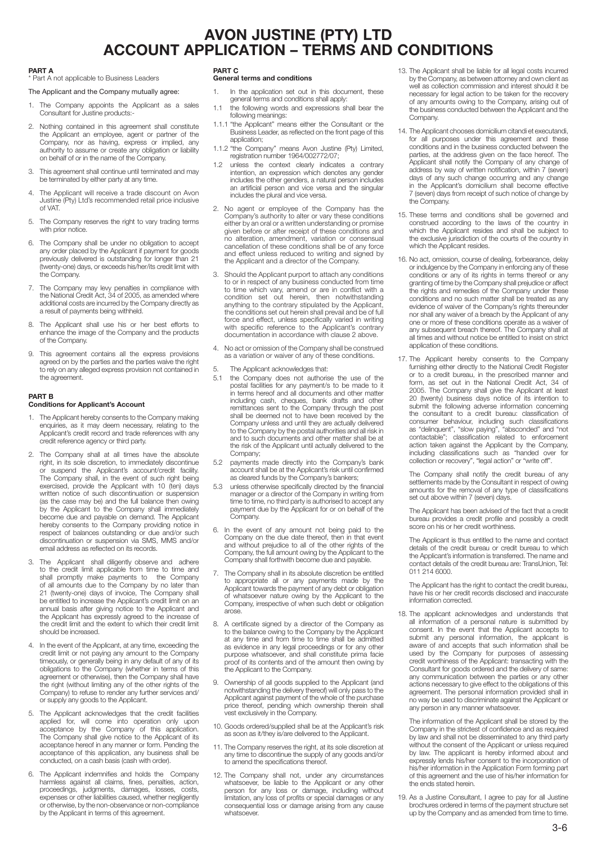# AVON JUSTINE (PTY) LTD ACCOUNT APPLICATION – TERMS AND CONDITIONS

#### PART A

\* Part A not applicable to Business Leaders

### The Applicant and the Company mutually agree:

- 1. The Company appoints the Applicant as a sales Consultant for Justine products:-
- 2. Nothing contained in this agreement shall constitute the Applicant an employee, agent or partner of the Company, nor as having, express or implied, any authority to assume or create any obligation or liability on behalf of or in the name of the Company.
- This agreement shall continue until terminated and may be terminated by either party at any time.
- 4. The Applicant will receive a trade discount on Avon Justine (Pty) Ltd's recommended retail price inclusive of VAT.
- 5. The Company reserves the right to vary trading terms with prior notice
- 6. The Company shall be under no obligation to accept any order placed by the Applicant if payment for goods previously delivered is outstanding for longer than 21 (twenty-one) days, or exceeds his/her/its credit limit with the Company.
- 7. The Company may levy penalties in compliance with the National Credit Act, 34 of 2005, as amended where additional costs are incurred by the Company directly as a result of payments being withheld.
- 8. The Applicant shall use his or her best efforts to enhance the image of the Company and the products of the Company.
- 9. This agreement contains all the express provisions agreed on by the parties and the parties waive the right to rely on any alleged express provision not contained in the agreement.

### PART B

### Conditions for Applicant's Account

- 1. The Applicant hereby consents to the Company making enquiries, as it may deem necessary, relating to the Applicant's credit record and trade references with any credit reference agency or third party.
- 2. The Company shall at all times have the absolute right, in its sole discretion, to immediately discontinue or suspend the Applicant's account/credit facility. The Company shall, in the event of such right being exercised, provide the Applicant with 10 (ten) days written notice of such discontinuation or suspension (as the case may be) and the full balance then owing by the Applicant to the Company shall immediately become due and payable on demand. The Applicant hereby consents to the Company providing notice in respect of balances outstanding or due and/or such discontinuation or suspension via SMS, MMS and/or email address as reflected on its records.
- 3. The Applicant shall diligently observe and adhere to the credit limit applicable from time to time and shall promptly make payments to the Company of all amounts due to the Company by no later than 21 (twenty-one) days of invoice, The Company shall be entitled to increase the Applicant's credit limit on an annual basis after giving notice to the Applicant and the Applicant has expressly agreed to the increase of the credit limit and the extent to which their credit limit should be increased.
- 4. In the event of the Applicant, at any time, exceeding the credit limit or not paying any amount to the Company timeously, or generally being in any default of any of its obligations to the Company (whether in terms of this agreement or otherwise), then the Company shall have the right (without limiting any of the other rights of the Company) to refuse to render any further services and/ or supply any goods to the Applicant.
- 5. The Applicant acknowledges that the credit facilities applied for, will come into operation only upon acceptance by the Company of this application. The Company shall give notice to the Applicant of its acceptance hereof in any manner or form. Pending the acceptance of this application, any business shall be conducted, on a cash basis (cash with order).
- The Applicant indemnifies and holds the Company harmless against all claims, fines, penalties, action, proceedings, judgments, damages, losses, costs, expenses or other liabilities caused, whether negligently or otherwise, by the non-observance or non-compliance by the Applicant in terms of this agreement.

## PART C

#### General terms and conditions

- 1. In the application set out in this document, these general terms and conditions shall apply:
- 1.1 the following words and expressions shall bear the following meanings:
- 1.1.1 "the Applicant" means either the Consultant or the Business Leader, as reflected on the front page of this application;
- 1.1.2 "the Company" means Avon Justine (Pty) Limited, registration number 1964/002772/07;
- 1.2 unless the context clearly indicates a contrary intention, an expression which denotes any gender includes the other genders, a natural person includes an artificial person and vice versa and the singular includes the plural and vice versa.
- 2. No agent or employee of the Company has the Company's authority to alter or vary these conditions either by an oral or a written understanding or promise given before or after receipt of these conditions and no alteration, amendment, variation or consensual cancellation of these conditions shall be of any force and effect unless reduced to writing and signed by the Applicant and a director of the Company.
- 3. Should the Applicant purport to attach any conditions to or in respect of any business conducted from time to time which vary, amend or are in conflict with a condition set out herein, then notwithstanding anything to the contrary stipulated by the Applicant, the conditions set out herein shall prevail and be of full force and effect, unless specifically varied in writing with specific reference to the Applicant's contrary documentation in accordance with clause 2 above.
- 4. No act or omission of the Company shall be construed as a variation or waiver of any of these conditions.
- 5. The Applicant acknowledges that:<br>5.1 the Company does not authoris
- 5.1 the Company does not authorise the use of the postal facilities for any payment/s to be made to it in terms hereof and all documents and other matter including cash, cheques, bank drafts and other remittances sent to the Company through the post shall be deemed not to have been received by the Company unless and until they are actually delivered to the Company by the postal authorities and all risk in and to such documents and other matter shall be at the risk of the Applicant until actually delivered to the Company;
- 5.2 payments made directly into the Company's bank account shall be at the Applicant's risk until confirmed as cleared funds by the Company's bankers;
- unless otherwise specifically directed by the financial manager or a director of the Company in writing from time to time, no third party is authorised to accept any payment due by the Applicant for or on behalf of the Company.
- 6. In the event of any amount not being paid to the Company on the due date thereof, then in that event and without prejudice to all of the other rights of the Company, the full amount owing by the Applicant to the Company shall forthwith become due and payable.
- 7. The Company shall in its absolute discretion be entitled to appropriate all or any payments made by the Applicant towards the payment of any debt or obligation of whatsoever nature owing by the Applicant to the Company, irrespective of when such debt or obligation arose.
- 8. A certificate signed by a director of the Company as to the balance owing to the Company by the Applicant at any time and from time to time shall be admitted as evidence in any legal proceedings or for any other purpose whatsoever, and shall constitute prima facie proof of its contents and of the amount then owing by the Applicant to the Company.
- 9. Ownership of all goods supplied to the Applicant (and notwithstanding the delivery thereof) will only pass to the Applicant against payment of the whole of the purchase price thereof, pending which ownership therein shall vest exclusively in the Company.
- 10. Goods ordered/supplied shall be at the Applicant's risk as soon as it/they is/are delivered to the Applicant.
- 11. The Company reserves the right, at its sole discretion at any time to discontinue the supply of any goods and/or to amend the specifications thereof.
- 12. The Company shall not, under any circumstances whatsoever, be liable to the Applicant or any other person for any loss or damage, including without limitation, any loss of profits or special damages or any consequential loss or damage arising from any cause whatsoever.
- 13. The Applicant shall be liable for all legal costs incurred by the Company, as between attorney and own client as well as collection commission and interest should it be necessary for legal action to be taken for the recovery of any amounts owing to the Company, arising out of the business conducted between the Applicant and the **Company**
- 14. The Applicant chooses domicilium citandi et executandi, for all purposes under this agreement and these conditions and in the business conducted between the parties, at the address given on the face hereof. The Applicant shall notify the Company of any change of address by way of written notification, within 7 (seven) days of any such change occurring and any change in the Applicant's domicilium shall become effective 7 (seven) days from receipt of such notice of change by the Company.
- 15. These terms and conditions shall be governed and construed according to the laws of the country in which the Applicant resides and shall be subject to the exclusive jurisdiction of the courts of the country in which the Applicant resides.
- 16. No act, omission, course of dealing, forbearance, delay or indulgence by the Company in enforcing any of these conditions or any of its rights in terms thereof or any granting of time by the Company shall prejudice or affect the rights and remedies of the Company under these conditions and no such matter shall be treated as any evidence of waiver of the Company's rights thereunder nor shall any waiver of a breach by the Applicant of any one or more of these conditions operate as a waiver of any subsequent breach thereof. The Company shall at all times and without notice be entitled to insist on strict application of these conditions.
- 17. The Applicant hereby consents to the Company furnishing either directly to the National Credit Register or to a credit bureau, in the prescribed manner and form, as set out in the National Credit Act, 34 of 2005. The Company shall give the Applicant at least 20 (twenty) business days notice of its intention to submit the following adverse information concerning the consultant to a credit bureau: classification of consumer behaviour, including such classifications as "delinquent", "slow paying", "absconded" and "not contactable"; classification related to enforcement action taken against the Applicant by the Company, including classifications such as "handed over for including classifications such as "handed over collection or recovery", "legal action" or "write off".

The Company shall notify the credit bureau of any settlements made by the Consultant in respect of owing amounts for the removal of any type of classifications set out above within 7 (seven) days.

The Applicant has been advised of the fact that a credit bureau provides a credit profile and possibly a credit score on his or her credit worthiness.

The Applicant is thus entitled to the name and contact details of the credit bureau or credit bureau to which the Applicant's information is transferred. The name and contact details of the credit bureau are: TransUnion, Tel: 011 214 6000.

The Applicant has the right to contact the credit bureau, have his or her credit records disclosed and inaccurate information corrected.

18. The applicant acknowledges and understands that all information of a personal nature is submitted by consent. In the event that the Applicant accepts to submit any personal information, the applicant is aware of and accepts that such information shall be used by the Company for purposes of assessing credit worthiness of the Applicant: transacting with the Consultant for goods ordered and the delivery of same: any communication between the parties or any other actions necessary to give effect to the obligations of this agreement. The personal information provided shall in no way be used to discriminate against the Applicant or any person in any manner whatsoever.

The information of the Applicant shall be stored by the Company in the strictest of confidence and as required by law and shall not be disseminated to any third party without the consent of the Applicant or unless required by law. The applicant is hereby informed about and expressly lends his/her consent to the incorporation of his/her information in the Application Form forming part of this agreement and the use of his/her information for the ends stated herein.

19. As a Justine Consultant, I agree to pay for all Justine brochures ordered in terms of the payment structure set up by the Company and as amended from time to time.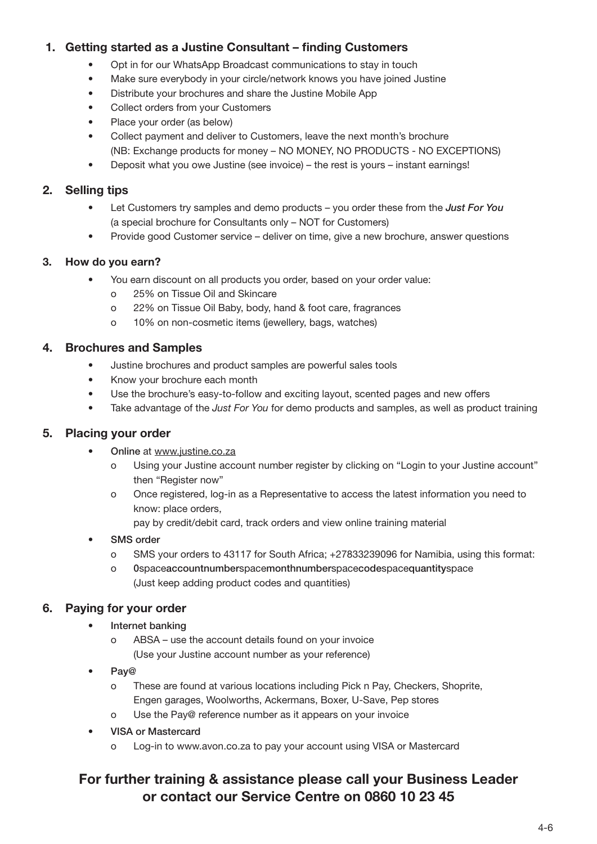# 1. Getting started as a Justine Consultant – finding Customers

- Opt in for our WhatsApp Broadcast communications to stay in touch
- Make sure everybody in your circle/network knows you have joined Justine
- Distribute your brochures and share the Justine Mobile App
- Collect orders from your Customers
- Place your order (as below)
- Collect payment and deliver to Customers, leave the next month's brochure (NB: Exchange products for money – NO MONEY, NO PRODUCTS - NO EXCEPTIONS)
- Deposit what you owe Justine (see invoice) the rest is yours instant earnings!

# 2. Selling tips

- Let Customers try samples and demo products you order these from the *Just For You* (a special brochure for Consultants only – NOT for Customers)
- Provide good Customer service deliver on time, give a new brochure, answer questions

## 3. How do you earn?

- You earn discount on all products you order, based on your order value:
	- o 25% on Tissue Oil and Skincare
	- o 22% on Tissue Oil Baby, body, hand & foot care, fragrances
	- o 10% on non-cosmetic items (jewellery, bags, watches)

## 4. Brochures and Samples

- Justine brochures and product samples are powerful sales tools
- Know your brochure each month
- Use the brochure's easy-to-follow and exciting layout, scented pages and new offers
- Take advantage of the *Just For You* for demo products and samples, as well as product training

# 5. Placing your order

- Online at www.justine.co.za
	- o Using your Justine account number register by clicking on "Login to your Justine account" then "Register now"
	- o Once registered, log-in as a Representative to access the latest information you need to know: place orders,

pay by credit/debit card, track orders and view online training material

- **SMS** order
	- o SMS your orders to 43117 for South Africa; +27833239096 for Namibia, using this format:
	- o 0spaceaccountnumberspacemonthnumberspacecodespacequantityspace (Just keep adding product codes and quantities)

# 6. Paying for your order

- Internet banking
	- o ABSA use the account details found on your invoice (Use your Justine account number as your reference)
- Pay@
	- o These are found at various locations including Pick n Pay, Checkers, Shoprite, Engen garages, Woolworths, Ackermans, Boxer, U-Save, Pep stores
	- o Use the Pay@ reference number as it appears on your invoice
- VISA or Mastercard
	- o Log-in to www.avon.co.za to pay your account using VISA or Mastercard

# For further training & assistance please call your Business Leader or contact our Service Centre on 0860 10 23 45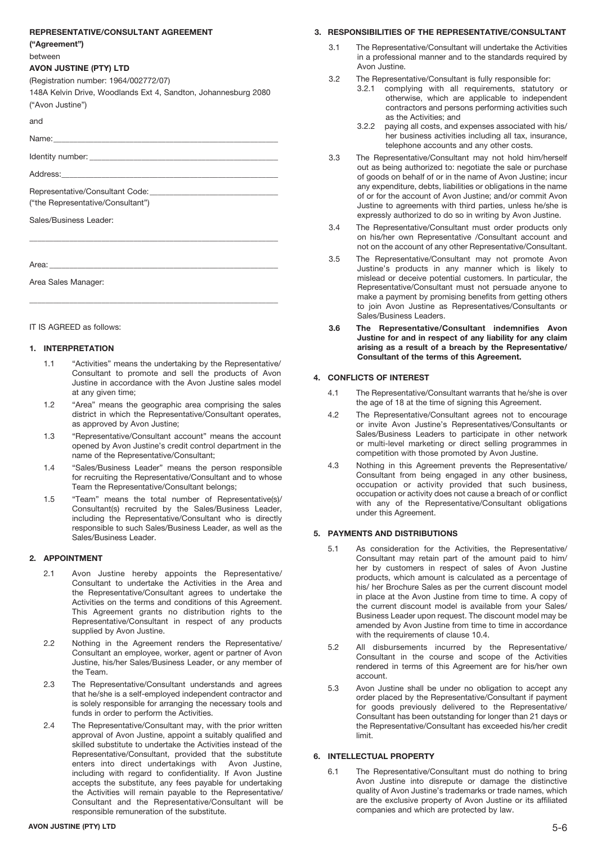### REPRESENTATIVE/CONSULTANT AGREEMENT

("Agreement")

#### between

### AVON JUSTINE (PTY) LTD

(Registration number: 1964/002772/07)

148A Kelvin Drive, Woodlands Ext 4, Sandton, Johannesburg 2080 ("Avon Justine")

\_\_\_\_\_\_\_\_\_\_\_\_\_\_\_\_\_\_\_\_\_\_\_\_\_\_\_\_\_\_\_\_\_\_\_\_\_\_\_\_\_\_\_\_\_\_\_\_\_\_\_\_\_\_\_\_\_\_\_\_\_\_

\_\_\_\_\_\_\_\_\_\_\_\_\_\_\_\_\_\_\_\_\_\_\_\_\_\_\_\_\_\_\_\_\_\_\_\_\_\_\_\_\_\_\_\_\_\_\_\_\_\_\_\_\_\_\_\_\_\_\_\_\_\_

and

Name:\_\_\_\_\_\_\_\_\_\_\_\_\_\_\_\_\_\_\_\_\_\_\_\_\_\_\_\_\_\_\_\_\_\_\_\_\_\_\_\_\_\_\_\_\_\_\_\_\_\_\_\_\_\_\_\_

Identity number:

Address:

Representative/Consultant Code: ("the Representative/Consultant")

Sales/Business Leader:

Area: \_\_\_\_\_\_\_\_\_\_\_\_\_\_\_\_\_\_\_\_\_\_\_\_\_\_\_\_\_\_\_\_\_\_\_\_\_\_\_\_\_\_\_\_\_\_\_\_\_\_\_\_\_\_\_\_\_

Area Sales Manager:

IT IS AGREED as follows:

### 1. INTERPRETATION

- 1.1 "Activities" means the undertaking by the Representative/ Consultant to promote and sell the products of Avon Justine in accordance with the Avon Justine sales model at any given time;
- 1.2 "Area" means the geographic area comprising the sales district in which the Representative/Consultant operates, as approved by Avon Justine;
- 1.3 "Representative/Consultant account" means the account opened by Avon Justine's credit control department in the name of the Representative/Consultant;
- 1.4 "Sales/Business Leader" means the person responsible for recruiting the Representative/Consultant and to whose Team the Representative/Consultant belongs;
- 1.5 "Team" means the total number of Representative(s)/ Consultant(s) recruited by the Sales/Business Leader, including the Representative/Consultant who is directly responsible to such Sales/Business Leader, as well as the Sales/Business Leader.

## 2. APPOINTMENT

- 2.1 Avon Justine hereby appoints the Representative/ Consultant to undertake the Activities in the Area and the Representative/Consultant agrees to undertake the Activities on the terms and conditions of this Agreement. This Agreement grants no distribution rights to the Representative/Consultant in respect of any products supplied by Avon Justine.
- 2.2 Nothing in the Agreement renders the Representative/ Consultant an employee, worker, agent or partner of Avon Justine, his/her Sales/Business Leader, or any member of the Team.
- 2.3 The Representative/Consultant understands and agrees that he/she is a self-employed independent contractor and is solely responsible for arranging the necessary tools and funds in order to perform the Activities.
- 2.4 The Representative/Consultant may, with the prior written approval of Avon Justine, appoint a suitably qualified and skilled substitute to undertake the Activities instead of the Representative/Consultant, provided that the substitute enters into direct undertakings with Avon Justine, including with regard to confidentiality. If Avon Justine accepts the substitute, any fees payable for undertaking the Activities will remain payable to the Representative/ Consultant and the Representative/Consultant will be responsible remuneration of the substitute.

### AVON JUSTINE (PTY) LTD 5-6

### 3. RESPONSIBILITIES OF THE REPRESENTATIVE/CONSULTANT

- 3.1 The Representative/Consultant will undertake the Activities in a professional manner and to the standards required by Avon Justine.
- 3.2 The Representative/Consultant is fully responsible for:
	- 3.2.1 complying with all requirements, statutory or otherwise, which are applicable to independent contractors and persons performing activities such as the Activities; and
	- 3.2.2 paying all costs, and expenses associated with his/ her business activities including all tax, insurance, telephone accounts and any other costs.
- 3.3 The Representative/Consultant may not hold him/herself out as being authorized to: negotiate the sale or purchase of goods on behalf of or in the name of Avon Justine; incur any expenditure, debts, liabilities or obligations in the name of or for the account of Avon Justine; and/or commit Avon Justine to agreements with third parties, unless he/she is expressly authorized to do so in writing by Avon Justine.
- 3.4 The Representative/Consultant must order products only on his/her own Representative /Consultant account and not on the account of any other Representative/Consultant.
- 3.5 The Representative/Consultant may not promote Avon Justine's products in any manner which is likely to mislead or deceive potential customers. In particular, the Representative/Consultant must not persuade anyone to make a payment by promising benefits from getting others to join Avon Justine as Representatives/Consultants or Sales/Business Leaders.
- 3.6 The Representative/Consultant indemnifies Avon Justine for and in respect of any liability for any claim arising as a result of a breach by the Representative/ Consultant of the terms of this Agreement.

## 4. CONFLICTS OF INTEREST

- 4.1 The Representative/Consultant warrants that he/she is over the age of 18 at the time of signing this Agreement.
- 4.2 The Representative/Consultant agrees not to encourage or invite Avon Justine's Representatives/Consultants or Sales/Business Leaders to participate in other network or multi-level marketing or direct selling programmes in competition with those promoted by Avon Justine.
- 4.3 Nothing in this Agreement prevents the Representative/ Consultant from being engaged in any other business, occupation or activity provided that such business, occupation or activity does not cause a breach of or conflict with any of the Representative/Consultant obligations under this Agreement.

### 5. PAYMENTS AND DISTRIBUTIONS

- 5.1 As consideration for the Activities, the Representative/ Consultant may retain part of the amount paid to him/ her by customers in respect of sales of Avon Justine products, which amount is calculated as a percentage of his/ her Brochure Sales as per the current discount model in place at the Avon Justine from time to time. A copy of the current discount model is available from your Sales/ Business Leader upon request. The discount model may be amended by Avon Justine from time to time in accordance with the requirements of clause 10.4.
- 5.2 All disbursements incurred by the Representative/ Consultant in the course and scope of the Activities rendered in terms of this Agreement are for his/her own account.
- 5.3 Avon Justine shall be under no obligation to accept any order placed by the Representative/Consultant if payment for goods previously delivered to the Representative/ Consultant has been outstanding for longer than 21 days or the Representative/Consultant has exceeded his/her credit limit.

### 6. INTELLECTUAL PROPERTY

6.1 The Representative/Consultant must do nothing to bring Avon Justine into disrepute or damage the distinctive quality of Avon Justine's trademarks or trade names, which are the exclusive property of Avon Justine or its affiliated companies and which are protected by law.